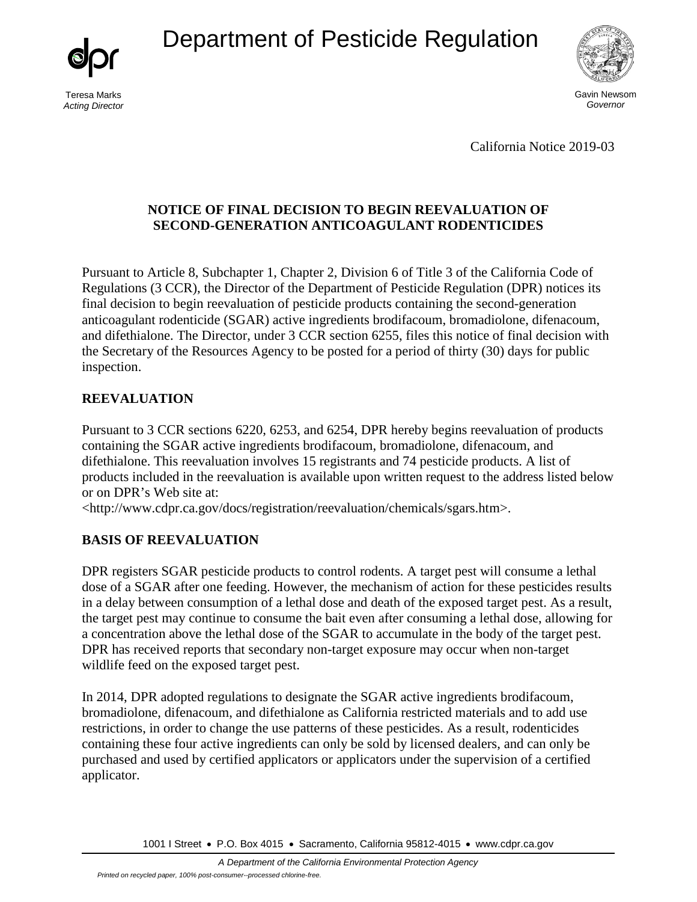Department of Pesticide Regulation



Teresa Marks *Acting Director*



California Notice 2019-03

# **NOTICE OF FINAL DECISION TO BEGIN REEVALUATION OF SECOND-GENERATION ANTICOAGULANT RODENTICIDES**

Pursuant to Article 8, Subchapter 1, Chapter 2, Division 6 of Title 3 of the California Code of Regulations (3 CCR), the Director of the Department of Pesticide Regulation (DPR) notices its final decision to begin reevaluation of pesticide products containing the second-generation anticoagulant rodenticide (SGAR) active ingredients brodifacoum, bromadiolone, difenacoum, and difethialone. The Director, under 3 CCR section 6255, files this notice of final decision with the Secretary of the Resources Agency to be posted for a period of thirty (30) days for public inspection.

# **REEVALUATION**

Pursuant to 3 CCR sections 6220, 6253, and 6254, DPR hereby begins reevaluation of products containing the SGAR active ingredients brodifacoum, bromadiolone, difenacoum, and difethialone. This reevaluation involves 15 registrants and 74 pesticide products. A list of products included in the reevaluation is available upon written request to the address listed below or on DPR's Web site at:

<http://www.cdpr.ca.gov/docs/registration/reevaluation/chemicals/sgars.htm>.

# **BASIS OF REEVALUATION**

DPR registers SGAR pesticide products to control rodents. A target pest will consume a lethal dose of a SGAR after one feeding. However, the mechanism of action for these pesticides results in a delay between consumption of a lethal dose and death of the exposed target pest. As a result, the target pest may continue to consume the bait even after consuming a lethal dose, allowing for a concentration above the lethal dose of the SGAR to accumulate in the body of the target pest. DPR has received reports that secondary non-target exposure may occur when non-target wildlife feed on the exposed target pest.

In 2014, DPR adopted regulations to designate the SGAR active ingredients brodifacoum, bromadiolone, difenacoum, and difethialone as California restricted materials and to add use restrictions, in order to change the use patterns of these pesticides. As a result, rodenticides containing these four active ingredients can only be sold by licensed dealers, and can only be purchased and used by certified applicators or applicators under the supervision of a certified applicator.

1001 I Street • P.O. Box 4015 • Sacramento, California 95812-4015 • [www.cdpr.ca.gov](http://www.cdpr.ca.gov/)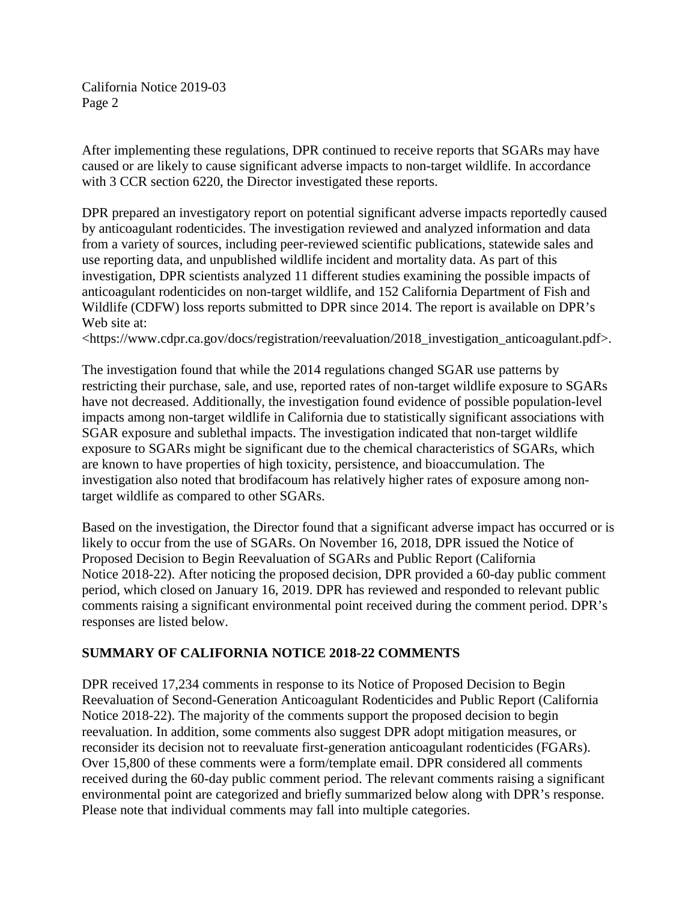After implementing these regulations, DPR continued to receive reports that SGARs may have caused or are likely to cause significant adverse impacts to non-target wildlife. In accordance with 3 CCR section 6220, the Director investigated these reports.

DPR prepared an investigatory report on potential significant adverse impacts reportedly caused by anticoagulant rodenticides. The investigation reviewed and analyzed information and data from a variety of sources, including peer-reviewed scientific publications, statewide sales and use reporting data, and unpublished wildlife incident and mortality data. As part of this investigation, DPR scientists analyzed 11 different studies examining the possible impacts of anticoagulant rodenticides on non-target wildlife, and 152 California Department of Fish and Wildlife (CDFW) loss reports submitted to DPR since 2014. The report is available on DPR's Web site at:

<https://www.cdpr.ca.gov/docs/registration/reevaluation/2018\_investigation\_anticoagulant.pdf>.

The investigation found that while the 2014 regulations changed SGAR use patterns by restricting their purchase, sale, and use, reported rates of non-target wildlife exposure to SGARs have not decreased. Additionally, the investigation found evidence of possible population-level impacts among non-target wildlife in California due to statistically significant associations with SGAR exposure and sublethal impacts. The investigation indicated that non-target wildlife exposure to SGARs might be significant due to the chemical characteristics of SGARs, which are known to have properties of high toxicity, persistence, and bioaccumulation. The investigation also noted that brodifacoum has relatively higher rates of exposure among nontarget wildlife as compared to other SGARs.

Based on the investigation, the Director found that a significant adverse impact has occurred or is likely to occur from the use of SGARs. On November 16, 2018, DPR issued the Notice of Proposed Decision to Begin Reevaluation of SGARs and Public Report (California Notice 2018-22). After noticing the proposed decision, DPR provided a 60-day public comment period, which closed on January 16, 2019. DPR has reviewed and responded to relevant public comments raising a significant environmental point received during the comment period. DPR's responses are listed below.

# **SUMMARY OF CALIFORNIA NOTICE 2018-22 COMMENTS**

DPR received 17,234 comments in response to its Notice of Proposed Decision to Begin Reevaluation of Second-Generation Anticoagulant Rodenticides and Public Report (California Notice 2018-22). The majority of the comments support the proposed decision to begin reevaluation. In addition, some comments also suggest DPR adopt mitigation measures, or reconsider its decision not to reevaluate first-generation anticoagulant rodenticides (FGARs). Over 15,800 of these comments were a form/template email. DPR considered all comments received during the 60-day public comment period. The relevant comments raising a significant environmental point are categorized and briefly summarized below along with DPR's response. Please note that individual comments may fall into multiple categories.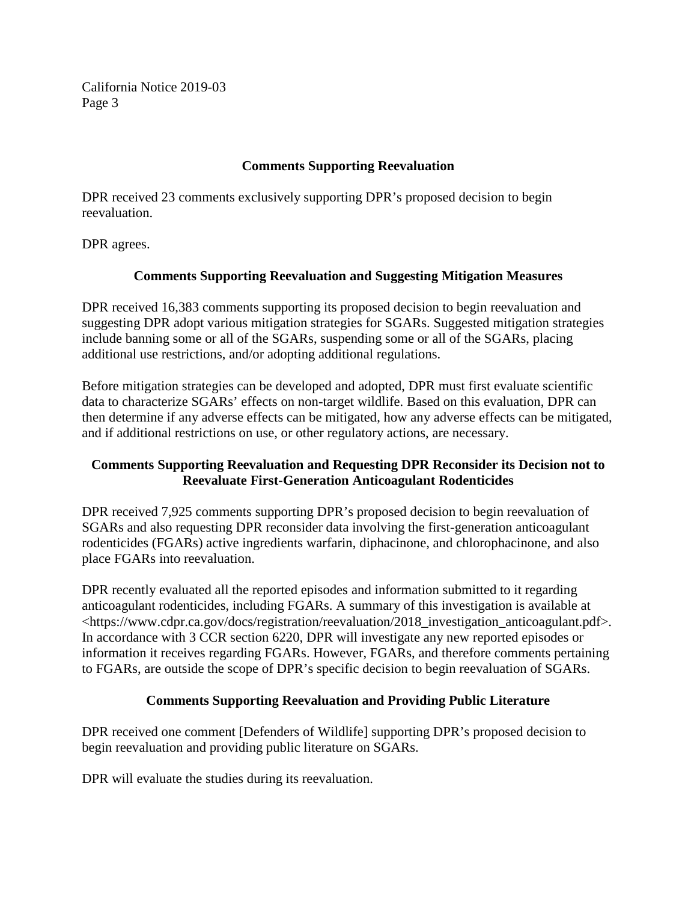#### **Comments Supporting Reevaluation**

DPR received 23 comments exclusively supporting DPR's proposed decision to begin reevaluation.

DPR agrees.

#### **Comments Supporting Reevaluation and Suggesting Mitigation Measures**

DPR received 16,383 comments supporting its proposed decision to begin reevaluation and suggesting DPR adopt various mitigation strategies for SGARs. Suggested mitigation strategies include banning some or all of the SGARs, suspending some or all of the SGARs, placing additional use restrictions, and/or adopting additional regulations.

Before mitigation strategies can be developed and adopted, DPR must first evaluate scientific data to characterize SGARs' effects on non-target wildlife. Based on this evaluation, DPR can then determine if any adverse effects can be mitigated, how any adverse effects can be mitigated, and if additional restrictions on use, or other regulatory actions, are necessary.

# **Comments Supporting Reevaluation and Requesting DPR Reconsider its Decision not to Reevaluate First-Generation Anticoagulant Rodenticides**

DPR received 7,925 comments supporting DPR's proposed decision to begin reevaluation of SGARs and also requesting DPR reconsider data involving the first-generation anticoagulant rodenticides (FGARs) active ingredients warfarin, diphacinone, and chlorophacinone, and also place FGARs into reevaluation.

DPR recently evaluated all the reported episodes and information submitted to it regarding anticoagulant rodenticides, including FGARs. A summary of this investigation is available at <https://www.cdpr.ca.gov/docs/registration/reevaluation/2018\_investigation\_anticoagulant.pdf>. In accordance with 3 CCR section 6220, DPR will investigate any new reported episodes or information it receives regarding FGARs. However, FGARs, and therefore comments pertaining to FGARs, are outside the scope of DPR's specific decision to begin reevaluation of SGARs.

#### **Comments Supporting Reevaluation and Providing Public Literature**

DPR received one comment [Defenders of Wildlife] supporting DPR's proposed decision to begin reevaluation and providing public literature on SGARs.

DPR will evaluate the studies during its reevaluation.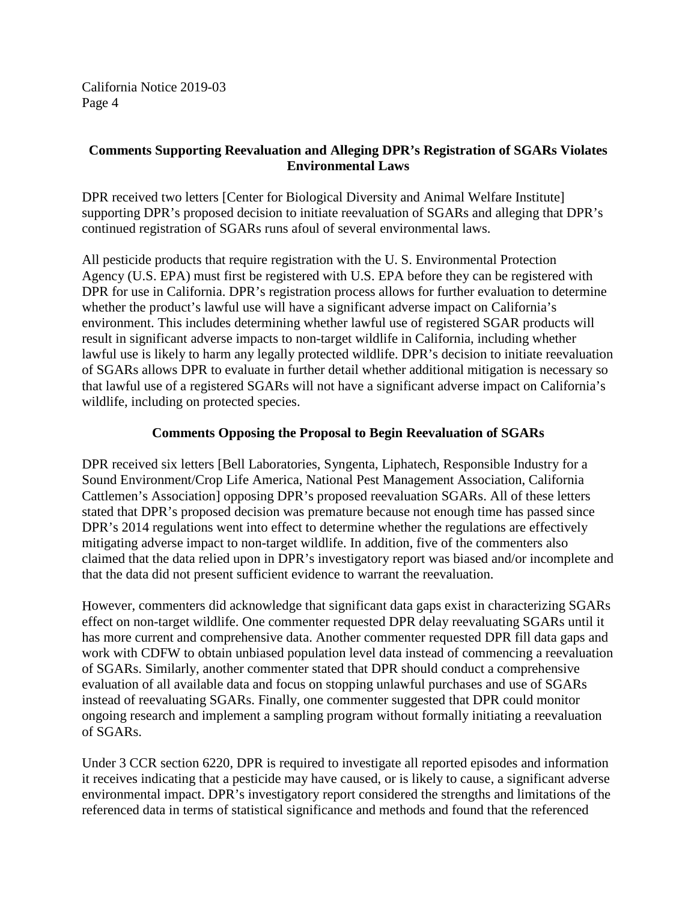# **Comments Supporting Reevaluation and Alleging DPR's Registration of SGARs Violates Environmental Laws**

DPR received two letters [Center for Biological Diversity and Animal Welfare Institute] supporting DPR's proposed decision to initiate reevaluation of SGARs and alleging that DPR's continued registration of SGARs runs afoul of several environmental laws.

All pesticide products that require registration with the U. S. Environmental Protection Agency (U.S. EPA) must first be registered with U.S. EPA before they can be registered with DPR for use in California. DPR's registration process allows for further evaluation to determine whether the product's lawful use will have a significant adverse impact on California's environment. This includes determining whether lawful use of registered SGAR products will result in significant adverse impacts to non-target wildlife in California, including whether lawful use is likely to harm any legally protected wildlife. DPR's decision to initiate reevaluation of SGARs allows DPR to evaluate in further detail whether additional mitigation is necessary so that lawful use of a registered SGARs will not have a significant adverse impact on California's wildlife, including on protected species.

#### **Comments Opposing the Proposal to Begin Reevaluation of SGARs**

DPR received six letters [Bell Laboratories, Syngenta, Liphatech, Responsible Industry for a Sound Environment/Crop Life America, National Pest Management Association, California Cattlemen's Association] opposing DPR's proposed reevaluation SGARs. All of these letters stated that DPR's proposed decision was premature because not enough time has passed since DPR's 2014 regulations went into effect to determine whether the regulations are effectively mitigating adverse impact to non-target wildlife. In addition, five of the commenters also claimed that the data relied upon in DPR's investigatory report was biased and/or incomplete and that the data did not present sufficient evidence to warrant the reevaluation.

However, commenters did acknowledge that significant data gaps exist in characterizing SGARs effect on non-target wildlife. One commenter requested DPR delay reevaluating SGARs until it has more current and comprehensive data. Another commenter requested DPR fill data gaps and work with CDFW to obtain unbiased population level data instead of commencing a reevaluation of SGARs. Similarly, another commenter stated that DPR should conduct a comprehensive evaluation of all available data and focus on stopping unlawful purchases and use of SGARs instead of reevaluating SGARs. Finally, one commenter suggested that DPR could monitor ongoing research and implement a sampling program without formally initiating a reevaluation of SGARs.

Under 3 CCR section 6220, DPR is required to investigate all reported episodes and information it receives indicating that a pesticide may have caused, or is likely to cause, a significant adverse environmental impact. DPR's investigatory report considered the strengths and limitations of the referenced data in terms of statistical significance and methods and found that the referenced